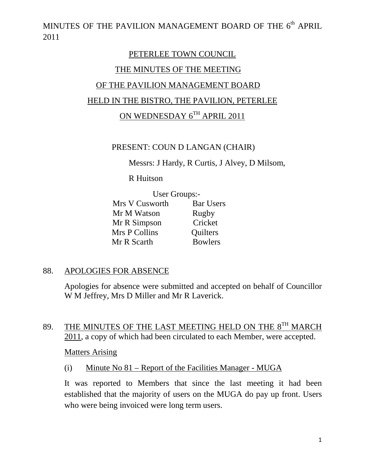MINUTES OF THE PAVILION MANAGEMENT BOARD OF THE  $6^{\rm th}$  APRIL 2011

# PETERLEE TOWN COUNCIL THE MINUTES OF THE MEETING OF THE PAVILION MANAGEMENT BOARD HELD IN THE BISTRO, THE PAVILION, PETERLEE ON WEDNESDAY 6TH APRIL 2011

#### PRESENT: COUN D LANGAN (CHAIR)

Messrs: J Hardy, R Curtis, J Alvey, D Milsom,

R Huitson

|                | User Groups:-    |  |
|----------------|------------------|--|
| Mrs V Cusworth | <b>Bar Users</b> |  |
| Mr M Watson    | Rugby            |  |
| Mr R Simpson   | Cricket          |  |
| Mrs P Collins  | Quilters         |  |
| Mr R Scarth    | <b>Bowlers</b>   |  |

#### 88. APOLOGIES FOR ABSENCE

Apologies for absence were submitted and accepted on behalf of Councillor W M Jeffrey, Mrs D Miller and Mr R Laverick.

## 89. THE MINUTES OF THE LAST MEETING HELD ON THE 8<sup>TH</sup> MARCH 2011, a copy of which had been circulated to each Member, were accepted.

#### Matters Arising

(i) Minute No 81 – Report of the Facilities Manager - MUGA

It was reported to Members that since the last meeting it had been established that the majority of users on the MUGA do pay up front. Users who were being invoiced were long term users.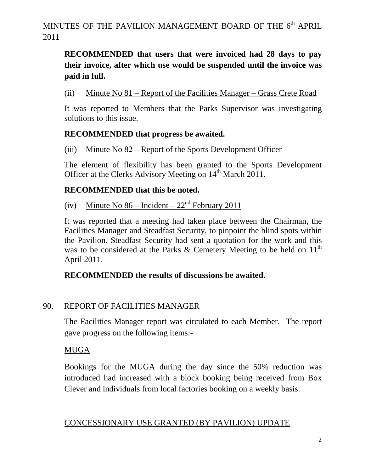# **RECOMMENDED that users that were invoiced had 28 days to pay their invoice, after which use would be suspended until the invoice was paid in full.**

(ii) Minute No 81 – Report of the Facilities Manager – Grass Crete Road

It was reported to Members that the Parks Supervisor was investigating solutions to this issue.

#### **RECOMMENDED that progress be awaited.**

(iii) Minute No 82 – Report of the Sports Development Officer

The element of flexibility has been granted to the Sports Development Officer at the Clerks Advisory Meeting on 14<sup>th</sup> March 2011.

#### **RECOMMENDED that this be noted.**

(iv) Minute No  $86$  – Incident –  $22<sup>nd</sup>$  February 2011

It was reported that a meeting had taken place between the Chairman, the Facilities Manager and Steadfast Security, to pinpoint the blind spots within the Pavilion. Steadfast Security had sent a quotation for the work and this was to be considered at the Parks & Cemetery Meeting to be held on  $11<sup>th</sup>$ April 2011.

### **RECOMMENDED the results of discussions be awaited.**

### 90. REPORT OF FACILITIES MANAGER

The Facilities Manager report was circulated to each Member. The report gave progress on the following items:-

### MUGA

Bookings for the MUGA during the day since the 50% reduction was introduced had increased with a block booking being received from Box Clever and individuals from local factories booking on a weekly basis.

#### CONCESSIONARY USE GRANTED (BY PAVILION) UPDATE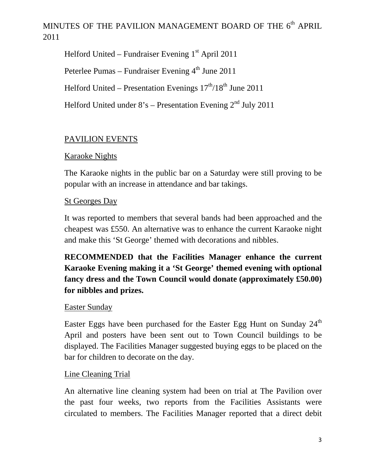Helford United – Fundraiser Evening  $1<sup>st</sup>$  April 2011

Peterlee Pumas – Fundraiser Evening  $4<sup>th</sup>$  June 2011

Helford United – Presentation Evenings  $17<sup>th</sup>/18<sup>th</sup>$  June 2011

Helford United under  $8's$  – Presentation Evening  $2<sup>nd</sup>$  July 2011

# PAVILION EVENTS

## Karaoke Nights

The Karaoke nights in the public bar on a Saturday were still proving to be popular with an increase in attendance and bar takings.

## St Georges Day

It was reported to members that several bands had been approached and the cheapest was £550. An alternative was to enhance the current Karaoke night and make this 'St George' themed with decorations and nibbles.

**RECOMMENDED that the Facilities Manager enhance the current Karaoke Evening making it a 'St George' themed evening with optional fancy dress and the Town Council would donate (approximately £50.00) for nibbles and prizes.** 

### Easter Sunday

Easter Eggs have been purchased for the Easter Egg Hunt on Sunday  $24<sup>th</sup>$ April and posters have been sent out to Town Council buildings to be displayed. The Facilities Manager suggested buying eggs to be placed on the bar for children to decorate on the day.

### Line Cleaning Trial

An alternative line cleaning system had been on trial at The Pavilion over the past four weeks, two reports from the Facilities Assistants were circulated to members. The Facilities Manager reported that a direct debit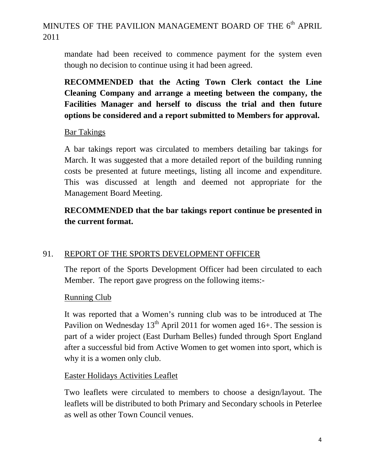mandate had been received to commence payment for the system even though no decision to continue using it had been agreed.

**RECOMMENDED that the Acting Town Clerk contact the Line Cleaning Company and arrange a meeting between the company, the Facilities Manager and herself to discuss the trial and then future options be considered and a report submitted to Members for approval.** 

#### Bar Takings

A bar takings report was circulated to members detailing bar takings for March. It was suggested that a more detailed report of the building running costs be presented at future meetings, listing all income and expenditure. This was discussed at length and deemed not appropriate for the Management Board Meeting.

# **RECOMMENDED that the bar takings report continue be presented in the current format.**

### 91. REPORT OF THE SPORTS DEVELOPMENT OFFICER

The report of the Sports Development Officer had been circulated to each Member. The report gave progress on the following items:-

#### Running Club

It was reported that a Women's running club was to be introduced at The Pavilion on Wednesday  $13<sup>th</sup>$  April 2011 for women aged 16+. The session is part of a wider project (East Durham Belles) funded through Sport England after a successful bid from Active Women to get women into sport, which is why it is a women only club.

#### Easter Holidays Activities Leaflet

Two leaflets were circulated to members to choose a design/layout. The leaflets will be distributed to both Primary and Secondary schools in Peterlee as well as other Town Council venues.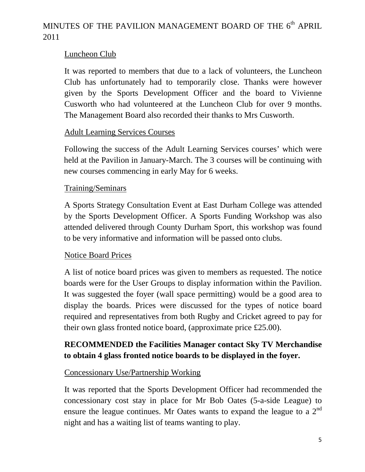## Luncheon Club

It was reported to members that due to a lack of volunteers, the Luncheon Club has unfortunately had to temporarily close. Thanks were however given by the Sports Development Officer and the board to Vivienne Cusworth who had volunteered at the Luncheon Club for over 9 months. The Management Board also recorded their thanks to Mrs Cusworth.

### Adult Learning Services Courses

Following the success of the Adult Learning Services courses' which were held at the Pavilion in January-March. The 3 courses will be continuing with new courses commencing in early May for 6 weeks.

#### Training/Seminars

A Sports Strategy Consultation Event at East Durham College was attended by the Sports Development Officer. A Sports Funding Workshop was also attended delivered through County Durham Sport, this workshop was found to be very informative and information will be passed onto clubs.

### Notice Board Prices

A list of notice board prices was given to members as requested. The notice boards were for the User Groups to display information within the Pavilion. It was suggested the foyer (wall space permitting) would be a good area to display the boards. Prices were discussed for the types of notice board required and representatives from both Rugby and Cricket agreed to pay for their own glass fronted notice board, (approximate price £25.00).

## **RECOMMENDED the Facilities Manager contact Sky TV Merchandise to obtain 4 glass fronted notice boards to be displayed in the foyer.**

### Concessionary Use/Partnership Working

It was reported that the Sports Development Officer had recommended the concessionary cost stay in place for Mr Bob Oates (5-a-side League) to ensure the league continues. Mr Oates wants to expand the league to a  $2<sup>nd</sup>$ night and has a waiting list of teams wanting to play.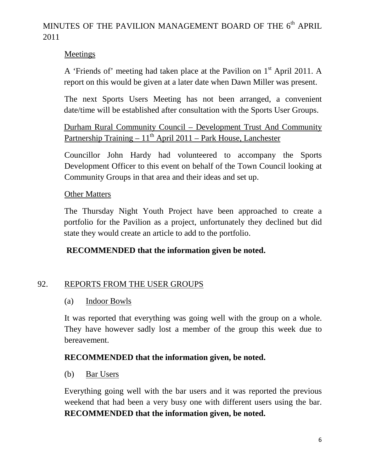## Meetings

A 'Friends of' meeting had taken place at the Pavilion on  $1<sup>st</sup>$  April 2011. A report on this would be given at a later date when Dawn Miller was present.

The next Sports Users Meeting has not been arranged, a convenient date/time will be established after consultation with the Sports User Groups.

Durham Rural Community Council – Development Trust And Community Partnership Training  $-11^{th}$  April 2011 – Park House, Lanchester

Councillor John Hardy had volunteered to accompany the Sports Development Officer to this event on behalf of the Town Council looking at Community Groups in that area and their ideas and set up.

### Other Matters

The Thursday Night Youth Project have been approached to create a portfolio for the Pavilion as a project, unfortunately they declined but did state they would create an article to add to the portfolio.

## **RECOMMENDED that the information given be noted.**

### 92. REPORTS FROM THE USER GROUPS

#### (a) Indoor Bowls

It was reported that everything was going well with the group on a whole. They have however sadly lost a member of the group this week due to bereavement.

### **RECOMMENDED that the information given, be noted.**

#### (b) Bar Users

Everything going well with the bar users and it was reported the previous weekend that had been a very busy one with different users using the bar. **RECOMMENDED that the information given, be noted.**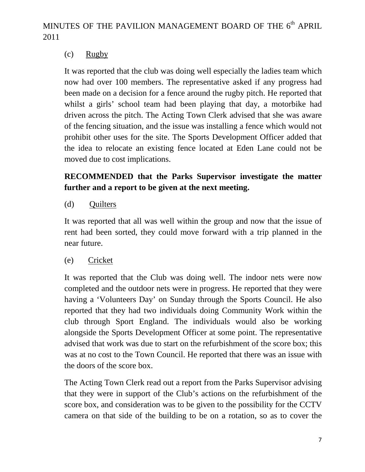## (c) Rugby

It was reported that the club was doing well especially the ladies team which now had over 100 members. The representative asked if any progress had been made on a decision for a fence around the rugby pitch. He reported that whilst a girls' school team had been playing that day, a motorbike had driven across the pitch. The Acting Town Clerk advised that she was aware of the fencing situation, and the issue was installing a fence which would not prohibit other uses for the site. The Sports Development Officer added that the idea to relocate an existing fence located at Eden Lane could not be moved due to cost implications.

# **RECOMMENDED that the Parks Supervisor investigate the matter further and a report to be given at the next meeting.**

## (d) Quilters

It was reported that all was well within the group and now that the issue of rent had been sorted, they could move forward with a trip planned in the near future.

## (e) Cricket

It was reported that the Club was doing well. The indoor nets were now completed and the outdoor nets were in progress. He reported that they were having a 'Volunteers Day' on Sunday through the Sports Council. He also reported that they had two individuals doing Community Work within the club through Sport England. The individuals would also be working alongside the Sports Development Officer at some point. The representative advised that work was due to start on the refurbishment of the score box; this was at no cost to the Town Council. He reported that there was an issue with the doors of the score box.

The Acting Town Clerk read out a report from the Parks Supervisor advising that they were in support of the Club's actions on the refurbishment of the score box, and consideration was to be given to the possibility for the CCTV camera on that side of the building to be on a rotation, so as to cover the